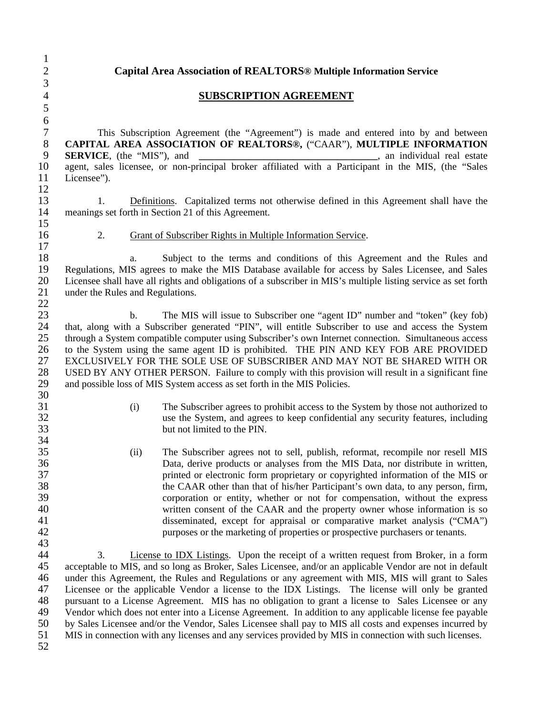1

2 **Capital Area Association of REALTORS® Multiple Information Service** 

## 4 **SUBSCRIPTION AGREEMENT**

7 This Subscription Agreement (the "Agreement") is made and entered into by and between 8 **CAPITAL AREA ASSOCIATION OF REALTORS®,** ("CAAR"), **MULTIPLE INFORMATION**<br>9 **SERVICE**. (the "MIS"), and<br>an individual real estate **SERVICE**, (the "MIS"), and **and a** state and **a** state and **a** state and **a** state and **a** state 10 agent, sales licensee, or non-principal broker affiliated with a Participant in the MIS, (the "Sales 11 Licensee").

13 1. Definitions. Capitalized terms not otherwise defined in this Agreement shall have the 14 meanings set forth in Section 21 of this Agreement. 15

17

16 2. Grant of Subscriber Rights in Multiple Information Service.

18 a. Subject to the terms and conditions of this Agreement and the Rules and 19 Regulations, MIS agrees to make the MIS Database available for access by Sales Licensee, and Sales<br>20 Licensee shall have all rights and obligations of a subscriber in MIS's multiple listing service as set forth Licensee shall have all rights and obligations of a subscriber in MIS's multiple listing service as set forth 21 under the Rules and Regulations. 22

23 b. The MIS will issue to Subscriber one "agent ID" number and "token" (key fob) 24 that, along with a Subscriber generated "PIN", will entitle Subscriber to use and access the System<br>25 through a System compatible computer using Subscriber's own Internet connection. Simultaneous access 25 through a System compatible computer using Subscriber's own Internet connection. Simultaneous access 26 to the System using the same agent ID is prohibited. THE PIN AND KEY FOB ARE PROVIDED 27 EXCLUSIVELY FOR THE SOLE USE OF SUBSCRIBER AND MAY NOT BE SHARED WITH OR 28 USED BY ANY OTHER PERSON. Failure to comply with this provision will result in a significant fine<br>29 and possible loss of MIS System access as set forth in the MIS Policies. and possible loss of MIS System access as set forth in the MIS Policies. 30

- 31 (i) The Subscriber agrees to prohibit access to the System by those not authorized to 32 use the System, and agrees to keep confidential any security features, including 33 but not limited to the PIN.
- 35 (ii) The Subscriber agrees not to sell, publish, reformat, recompile nor resell MIS 36 Data, derive products or analyses from the MIS Data, nor distribute in written, 37 printed or electronic form proprietary or copyrighted information of the MIS or 38 the CAAR other than that of his/her Participant's own data, to any person, firm, 39 corporation or entity, whether or not for compensation, without the express 40 written consent of the CAAR and the property owner whose information is so 41 disseminated, except for appraisal or comparative market analysis ("CMA") 42 purposes or the marketing of properties or prospective purchasers or tenants.

44 3. License to IDX Listings. Upon the receipt of a written request from Broker, in a form 45 acceptable to MIS, and so long as Broker, Sales Licensee, and/or an applicable Vendor are not in default 46 under this Agreement, the Rules and Regulations or any agreement with MIS, MIS will grant to Sales 47 Licensee or the applicable Vendor a license to the IDX Listings. The license will only be granted 48 pursuant to a License Agreement. MIS has no obligation to grant a license to Sales Licensee or any<br>49 Vendor which does not enter into a License Agreement. In addition to any applicable license fee payable Vendor which does not enter into a License Agreement. In addition to any applicable license fee payable 50 by Sales Licensee and/or the Vendor, Sales Licensee shall pay to MIS all costs and expenses incurred by 51 MIS in connection with any licenses and any services provided by MIS in connection with such licenses.

52

34<br>35

43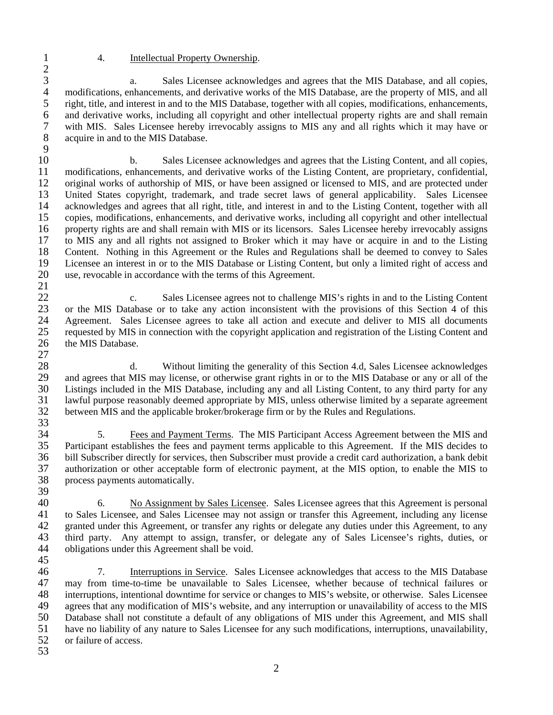21

## 1 4. Intellectual Property Ownership.

 $\frac{2}{3}$ 3 a. Sales Licensee acknowledges and agrees that the MIS Database, and all copies,<br>4 modifications, enhancements, and derivative works of the MIS Database, are the property of MIS, and all 4 modifications, enhancements, and derivative works of the MIS Database, are the property of MIS, and all 5 right, title, and interest in and to the MIS Database, together with all copies, modifications, enhancements, and derivative works, including all copyright and other intellectual property rights are and shall remain and derivative works, including all copyright and other intellectual property rights are and shall remain 7 with MIS. Sales Licensee hereby irrevocably assigns to MIS any and all rights which it may have or 8 acquire in and to the MIS Database. 9

10 b. Sales Licensee acknowledges and agrees that the Listing Content, and all copies, 11 modifications, enhancements, and derivative works of the Listing Content, are proprietary, confidential, 12 original works of authorship of MIS, or have been assigned or licensed to MIS, and are protected under 13 United States copyright, trademark, and trade secret laws of general applicability. Sales Licensee 14 acknowledges and agrees that all right, title, and interest in and to the Listing Content, together with all 15 copies, modifications, enhancements, and derivative works, including all copyright and other intellectual 16 property rights are and shall remain with MIS or its licensors. Sales Licensee hereby irrevocably assigns 17 to MIS any and all rights not assigned to Broker which it may have or acquire in and to the Listing 18 Content. Nothing in this Agreement or the Rules and Regulations shall be deemed to convey to Sales<br>19 Licensee an interest in or to the MIS Database or Listing Content, but only a limited right of access and Licensee an interest in or to the MIS Database or Listing Content, but only a limited right of access and 20 use, revocable in accordance with the terms of this Agreement.

22 c. Sales Licensee agrees not to challenge MIS's rights in and to the Listing Content<br>23 or the MIS Database or to take any action inconsistent with the provisions of this Section 4 of this 23 or the MIS Database or to take any action inconsistent with the provisions of this Section 4 of this 24 Agreement. Sales Licensee agrees to take all action and execute and deliver to MIS all documents 25 requested by MIS in connection with the copyright application and registration of the Listing Content and 26 the MIS Database. 27

28 d. Without limiting the generality of this Section 4.d, Sales Licensee acknowledges 29 and agrees that MIS may license, or otherwise grant rights in or to the MIS Database or any or all of the 30 Listings included in the MIS Database, including any and all Listing Content, to any third party for any 31 lawful purpose reasonably deemed appropriate by MIS, unless otherwise limited by a separate agreement 32 between MIS and the applicable broker/brokerage firm or by the Rules and Regulations. 33

34 5. Fees and Payment Terms. The MIS Participant Access Agreement between the MIS and 35 Participant establishes the fees and payment terms applicable to this Agreement. If the MIS decides to 36 bill Subscriber directly for services, then Subscriber must provide a credit card authorization, a bank debit 37 authorization or other acceptable form of electronic payment, at the MIS option, to enable the MIS to 38 process payments automatically.

39<br>40 40 6. No Assignment by Sales Licensee. Sales Licensee agrees that this Agreement is personal 41 to Sales Licensee, and Sales Licensee may not assign or transfer this Agreement, including any license 42 granted under this Agreement, or transfer any rights or delegate any duties under this Agreement, to any 43 third party. Any attempt to assign, transfer, or delegate any of Sales Licensee's rights, duties, or 44 obligations under this Agreement shall be void.

45

46 7. Interruptions in Service. Sales Licensee acknowledges that access to the MIS Database 47 may from time-to-time be unavailable to Sales Licensee, whether because of technical failures or 48 interruptions, intentional downtime for service or changes to MIS's website, or otherwise. Sales Licensee 49 agrees that any modification of MIS's website, and any interruption or unavailability of access to the MIS 50 Database shall not constitute a default of any obligations of MIS under this Agreement, and MIS shall 51 have no liability of any nature to Sales Licensee for any such modifications, interruptions, unavailability, 52 or failure of access.

53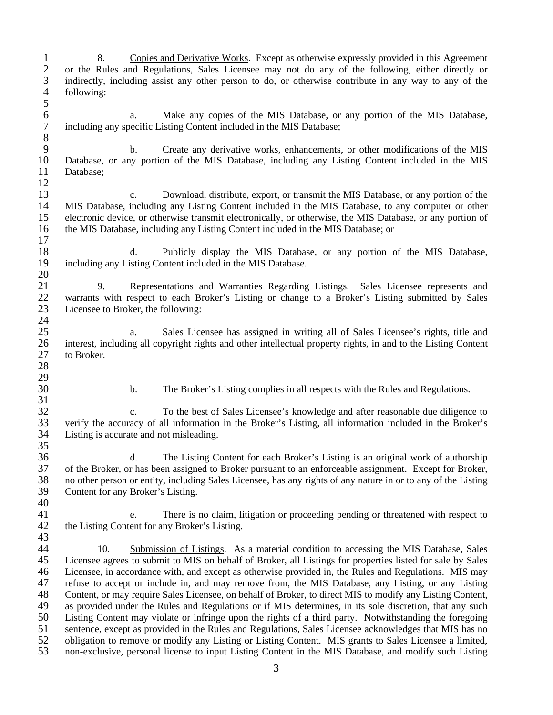1 8. Copies and Derivative Works. Except as otherwise expressly provided in this Agreement 2 or the Rules and Regulations, Sales Licensee may not do any of the following, either directly or 2 or the Rules and Regulations, Sales Licensee may not do any of the following, either directly or indirectly, including assist any other person to do, or otherwise contribute in any way to any of the 3 indirectly, including assist any other person to do, or otherwise contribute in any way to any of the following:  $\frac{5}{6}$ 6 a. Make any copies of the MIS Database, or any portion of the MIS Database, including any specific Listing Content included in the MIS Database; including any specific Listing Content included in the MIS Database; 8<br>9 b. Create any derivative works, enhancements, or other modifications of the MIS 10 Database, or any portion of the MIS Database, including any Listing Content included in the MIS 11 Database; 12 13 c. Download, distribute, export, or transmit the MIS Database, or any portion of the 14 MIS Database, including any Listing Content included in the MIS Database, to any computer or other 15 electronic device, or otherwise transmit electronically, or otherwise, the MIS Database, or any portion of 16 the MIS Database, including any Listing Content included in the MIS Database; or 17 18 d. Publicly display the MIS Database, or any portion of the MIS Database, including any Listing Content included in the MIS Database. including any Listing Content included in the MIS Database. 20 21 9. Representations and Warranties Regarding Listings. Sales Licensee represents and 22 warrants with respect to each Broker's Listing or change to a Broker's Listing submitted by Sales<br>23 Licensee to Broker, the following: Licensee to Broker, the following: 24 25 a. Sales Licensee has assigned in writing all of Sales Licensee's rights, title and interest, including all copyright rights and other intellectual property rights, in and to the Listing Content 26 interest, including all copyright rights and other intellectual property rights, in and to the Listing Content 27 to Broker. 28 29 30 b. The Broker's Listing complies in all respects with the Rules and Regulations. 31 32 c. To the best of Sales Licensee's knowledge and after reasonable due diligence to<br>33 verify the accuracy of all information in the Broker's Listing, all information included in the Broker's 33 verify the accuracy of all information in the Broker's Listing, all information included in the Broker's 34 Listing is accurate and not misleading. 35 36 d. The Listing Content for each Broker's Listing is an original work of authorship 37 of the Broker, or has been assigned to Broker pursuant to an enforceable assignment. Except for Broker, 38 no other person or entity, including Sales Licensee, has any rights of any nature in or to any of the Listing 39 Content for any Broker's Listing. 40 41 e. There is no claim, litigation or proceeding pending or threatened with respect to 42 the Listing Content for any Broker's Listing. 43 44 10. Submission of Listings. As a material condition to accessing the MIS Database, Sales 45 Licensee agrees to submit to MIS on behalf of Broker, all Listings for properties listed for sale by Sales 46 Licensee, in accordance with, and except as otherwise provided in, the Rules and Regulations. MIS may 47 refuse to accept or include in, and may remove from, the MIS Database, any Listing, or any Listing 48 Content, or may require Sales Licensee, on behalf of Broker, to direct MIS to modify any Listing Content,<br>49 as provided under the Rules and Regulations or if MIS determines, in its sole discretion, that any such as provided under the Rules and Regulations or if MIS determines, in its sole discretion, that any such 50 Listing Content may violate or infringe upon the rights of a third party. Notwithstanding the foregoing 51 sentence, except as provided in the Rules and Regulations, Sales Licensee acknowledges that MIS has no 52 obligation to remove or modify any Listing or Listing Content. MIS grants to Sales Licensee a limited, 53 non-exclusive, personal license to input Listing Content in the MIS Database, and modify such Listing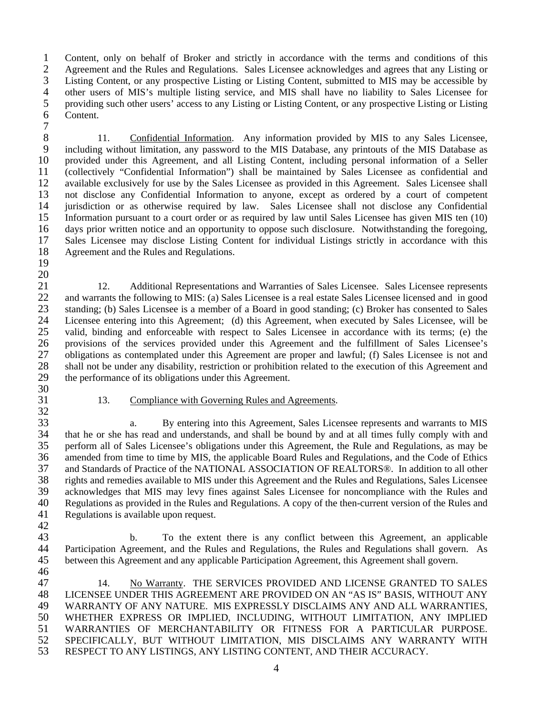1 Content, only on behalf of Broker and strictly in accordance with the terms and conditions of this 2 Agreement and the Rules and Regulations. Sales Licensee acknowledges and agrees that any Listing or<br>3 Listing Content, or any prospective Listing or Listing Content, submitted to MIS may be accessible by Listing Content, or any prospective Listing or Listing Content, submitted to MIS may be accessible by 4 other users of MIS's multiple listing service, and MIS shall have no liability to Sales Licensee for 5 providing such other users' access to any Listing or Listing Content, or any prospective Listing or Listing Content.

7

8 11. Confidential Information. Any information provided by MIS to any Sales Licensee,<br>9 including without limitation, any password to the MIS Database, any printouts of the MIS Database as including without limitation, any password to the MIS Database, any printouts of the MIS Database as 10 provided under this Agreement, and all Listing Content, including personal information of a Seller 11 (collectively "Confidential Information") shall be maintained by Sales Licensee as confidential and 12 available exclusively for use by the Sales Licensee as provided in this Agreement. Sales Licensee shall 13 not disclose any Confidential Information to anyone, except as ordered by a court of competent 14 jurisdiction or as otherwise required by law. Sales Licensee shall not disclose any Confidential 15 Information pursuant to a court order or as required by law until Sales Licensee has given MIS ten (10) 16 days prior written notice and an opportunity to oppose such disclosure. Notwithstanding the foregoing, 17 Sales Licensee may disclose Listing Content for individual Listings strictly in accordance with this 18 Agreement and the Rules and Regulations.

19 20

21 12. Additional Representations and Warranties of Sales Licensee. Sales Licensee represents 22 and warrants the following to MIS: (a) Sales Licensee is a real estate Sales Licensee licensed and in good<br>23 standing: (b) Sales Licensee is a member of a Board in good standing: (c) Broker has consented to Sales 23 standing; (b) Sales Licensee is a member of a Board in good standing; (c) Broker has consented to Sales 24 Licensee entering into this Agreement; (d) this Agreement, when executed by Sales Licensee, will be 25 valid, binding and enforceable with respect to Sales Licensee in accordance with its terms; (e) the 26 provisions of the services provided under this Agreement and the fulfillment of Sales Licensee's 27 obligations as contemplated under this Agreement are proper and lawful; (f) Sales Licensee is not and 28 shall not be under any disability, restriction or prohibition related to the execution of this Agreement and 29 the performance of its obligations under this Agreement. 30

- -
- 31 13. Compliance with Governing Rules and Agreements.

32<br>33 33 a. By entering into this Agreement, Sales Licensee represents and warrants to MIS 34 that he or she has read and understands, and shall be bound by and at all times fully comply with and 35 perform all of Sales Licensee's obligations under this Agreement, the Rule and Regulations, as may be 36 amended from time to time by MIS, the applicable Board Rules and Regulations, and the Code of Ethics 37 and Standards of Practice of the NATIONAL ASSOCIATION OF REALTORS®. In addition to all other 38 rights and remedies available to MIS under this Agreement and the Rules and Regulations, Sales Licensee 39 acknowledges that MIS may levy fines against Sales Licensee for noncompliance with the Rules and 40 Regulations as provided in the Rules and Regulations. A copy of the then-current version of the Rules and 40 Regulations as provided in the Rules and Regulations. A copy of the then-current version of the Rules and 41 Regulations is available upon request.

42

43 b. To the extent there is any conflict between this Agreement, an applicable 44 Participation Agreement, and the Rules and Regulations, the Rules and Regulations shall govern. As 45 between this Agreement and any applicable Participation Agreement, this Agreement shall govern.

46 47 14. No Warranty. THE SERVICES PROVIDED AND LICENSE GRANTED TO SALES 48 LICENSEE UNDER THIS AGREEMENT ARE PROVIDED ON AN "AS IS" BASIS, WITHOUT ANY 49 WARRANTY OF ANY NATURE. MIS EXPRESSLY DISCLAIMS ANY AND ALL WARRANTIES, 50 WHETHER EXPRESS OR IMPLIED, INCLUDING, WITHOUT LIMITATION, ANY IMPLIED 51 WARRANTIES OF MERCHANTABILITY OR FITNESS FOR A PARTICULAR PURPOSE. 52 SPECIFICALLY, BUT WITHOUT LIMITATION, MIS DISCLAIMS ANY WARRANTY WITH 53 RESPECT TO ANY LISTINGS, ANY LISTING CONTENT, AND THEIR ACCURACY.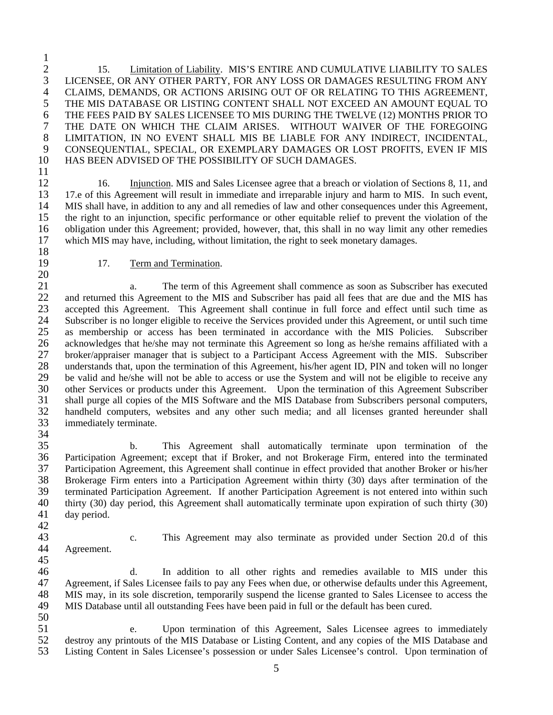$\frac{1}{2}$ <sup>2</sup> 15. <u>Limitation of Liability</u>. MIS'S ENTIRE AND CUMULATIVE LIABILITY TO SALES<br><sup>3</sup> LICENSEE, OR ANY OTHER PARTY, FOR ANY LOSS OR DAMAGES RESULTING FROM ANY LICENSEE, OR ANY OTHER PARTY, FOR ANY LOSS OR DAMAGES RESULTING FROM ANY 4 CLAIMS, DEMANDS, OR ACTIONS ARISING OUT OF OR RELATING TO THIS AGREEMENT, 5 THE MIS DATABASE OR LISTING CONTENT SHALL NOT EXCEED AN AMOUNT EQUAL TO 6 THE FEES PAID BY SALES LICENSEE TO MIS DURING THE TWELVE (12) MONTHS PRIOR TO 7 THE DATE ON WHICH THE CLAIM ARISES. WITHOUT WAIVER OF THE FOREGOING 8 LIMITATION, IN NO EVENT SHALL MIS BE LIABLE FOR ANY INDIRECT, INCIDENTAL, CONSEQUENTIAL, SPECIAL, OR EXEMPLARY DAMAGES OR LOST PROFITS. EVEN IF MIS 9 CONSEQUENTIAL, SPECIAL, OR EXEMPLARY DAMAGES OR LOST PROFITS, EVEN IF MIS 10 HAS BEEN ADVISED OF THE POSSIBILITY OF SUCH DAMAGES.

11

12 16. Injunction. MIS and Sales Licensee agree that a breach or violation of Sections 8, 11, and 13 17.e of this Agreement will result in immediate and irreparable injury and harm to MIS. In such event, 14 MIS shall have, in addition to any and all remedies of law and other consequences under this Agreement, 15 the right to an injunction, specific performance or other equitable relief to prevent the violation of the 16 obligation under this Agreement; provided, however, that, this shall in no way limit any other remedies 17 which MIS may have, including, without limitation, the right to seek monetary damages.

18<br>19

20

## 17. Term and Termination.

21 a. The term of this Agreement shall commence as soon as Subscriber has executed 22 and returned this Agreement to the MIS and Subscriber has paid all fees that are due and the MIS has<br>23 accepted this Agreement. This Agreement shall continue in full force and effect until such time as accepted this Agreement. This Agreement shall continue in full force and effect until such time as 24 Subscriber is no longer eligible to receive the Services provided under this Agreement, or until such time 25 as membership or access has been terminated in accordance with the MIS Policies. Subscriber 26 acknowledges that he/she may not terminate this Agreement so long as he/she remains affiliated with a 27 broker/appraiser manager that is subject to a Participant Access Agreement with the MIS. Subscriber 28 understands that, upon the termination of this Agreement, his/her agent ID, PIN and token will no longer 29 be valid and he/she will not be able to access or use the System and will not be eligible to receive any 30 other Services or products under this Agreement. Upon the termination of this Agreement Subscriber 31 shall purge all copies of the MIS Software and the MIS Database from Subscribers personal computers, 32 handheld computers, websites and any other such media; and all licenses granted hereunder shall immediately terminate. immediately terminate.

35 b. This Agreement shall automatically terminate upon termination of the 36 Participation Agreement; except that if Broker, and not Brokerage Firm, entered into the terminated 37 Participation Agreement, this Agreement shall continue in effect provided that another Broker or his/her 38 Brokerage Firm enters into a Participation Agreement within thirty (30) days after termination of the 39 terminated Participation Agreement. If another Participation Agreement is not entered into within such 40 thirty (30) day period, this Agreement shall automatically terminate upon expiration of such thirty (30) 40 thirty (30) day period, this Agreement shall automatically terminate upon expiration of such thirty (30) 41 day period.

42

34

- 
- 44 Agreement. 45

43 c. This Agreement may also terminate as provided under Section 20.d of this

46 d. In addition to all other rights and remedies available to MIS under this 47 Agreement, if Sales Licensee fails to pay any Fees when due, or otherwise defaults under this Agreement, 48 MIS may, in its sole discretion, temporarily suspend the license granted to Sales Licensee to access the 49 MIS Database until all outstanding Fees have been paid in full or the default has been cured.

50

51 e. Upon termination of this Agreement, Sales Licensee agrees to immediately 52 destroy any printouts of the MIS Database or Listing Content, and any copies of the MIS Database and 53 Listing Content in Sales Licensee's possession or under Sales Licensee's control. Upon termination of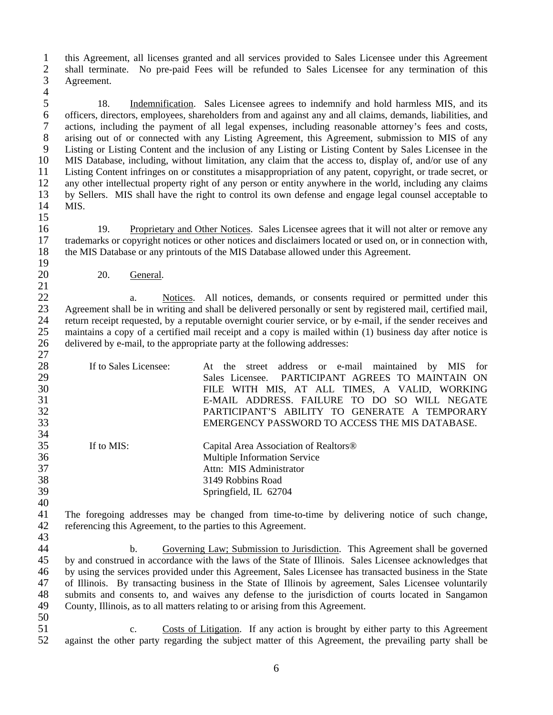1 this Agreement, all licenses granted and all services provided to Sales Licensee under this Agreement 2 shall terminate. No pre-paid Fees will be refunded to Sales Licensee for any termination of this 2 shall terminate. No pre-paid Fees will be refunded to Sales Licensee for any termination of this Agreement. Agreement. 4

5 18. Indemnification. Sales Licensee agrees to indemnify and hold harmless MIS, and its officers, directors, employees, shareholders from and against any and all claims, demands, liabilities, and 6 officers, directors, employees, shareholders from and against any and all claims, demands, liabilities, and 7 actions, including the payment of all legal expenses, including reasonable attorney's fees and costs, 8 arising out of or connected with any Listing Agreement, this Agreement, submission to MIS of any<br>9 Listing or Listing Content and the inclusion of any Listing or Listing Content by Sales Licensee in the Listing or Listing Content and the inclusion of any Listing or Listing Content by Sales Licensee in the 10 MIS Database, including, without limitation, any claim that the access to, display of, and/or use of any 11 Listing Content infringes on or constitutes a misappropriation of any patent, copyright, or trade secret, or 12 any other intellectual property right of any person or entity anywhere in the world, including any claims 13 by Sellers. MIS shall have the right to control its own defense and engage legal counsel acceptable to 14 MIS.

 $\frac{15}{16}$ 16 19. Proprietary and Other Notices. Sales Licensee agrees that it will not alter or remove any 17 trademarks or copyright notices or other notices and disclaimers located or used on, or in connection with, 18 the MIS Database or any printouts of the MIS Database allowed under this Agreement. 19

20 20. General.

22 a. Notices. All notices, demands, or consents required or permitted under this<br>23 Agreement shall be in writing and shall be delivered personally or sent by registered mail, certified mail, Agreement shall be in writing and shall be delivered personally or sent by registered mail, certified mail, 24 return receipt requested, by a reputable overnight courier service, or by e-mail, if the sender receives and 25 maintains a copy of a certified mail receipt and a copy is mailed within (1) business day after notice is delivered by e-mail, to the appropriate party at the following addresses: delivered by e-mail, to the appropriate party at the following addresses: 27

28 If to Sales Licensee: At the street address or e-mail maintained by MIS for 29 Sales Licensee. PARTICIPANT AGREES TO MAINTAIN ON 30 FILE WITH MIS, AT ALL TIMES, A VALID, WORKING 31 E-MAIL ADDRESS. FAILURE TO DO SO WILL NEGATE 32 PARTICIPANT'S ABILITY TO GENERATE A TEMPORARY EMERGENCY PASSWORD TO ACCESS THE MIS DATABASE. 34 35 If to MIS: Capital Area Association of Realtors® 36 Multiple Information Service 37 Attn: MIS Administrator 38 3149 Robbins Road 39 Springfield, IL 62704

41 The foregoing addresses may be changed from time-to-time by delivering notice of such change, 42 referencing this Agreement, to the parties to this Agreement. 43

44 b. Governing Law; Submission to Jurisdiction. This Agreement shall be governed 45 by and construed in accordance with the laws of the State of Illinois. Sales Licensee acknowledges that 46 by using the services provided under this Agreement, Sales Licensee has transacted business in the State 47 of Illinois. By transacting business in the State of Illinois by agreement, Sales Licensee voluntarily 48 submits and consents to, and waives any defense to the jurisdiction of courts located in Sangamon County, Illinois, as to all matters relating to or arising from this Agreement. County, Illinois, as to all matters relating to or arising from this Agreement.

50

40

21

51 c. Costs of Litigation. If any action is brought by either party to this Agreement 52 against the other party regarding the subject matter of this Agreement, the prevailing party shall be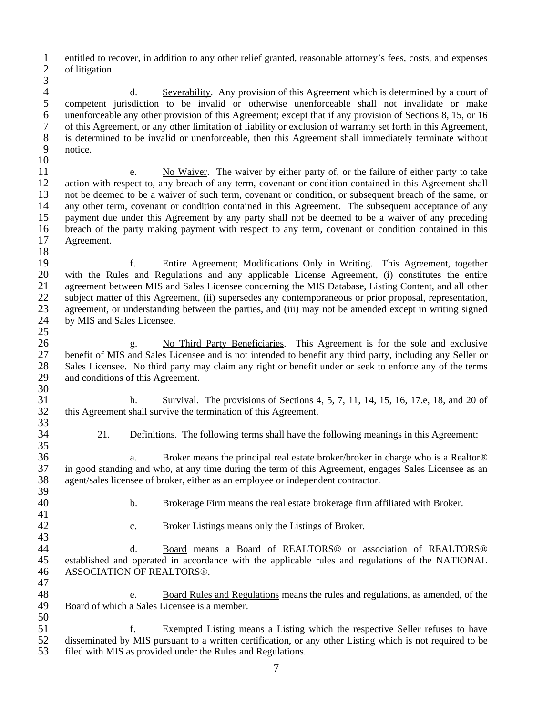1 entitled to recover, in addition to any other relief granted, reasonable attorney's fees, costs, and expenses of litigation. of litigation.

 $\frac{3}{4}$ 4 d. Severability. Any provision of this Agreement which is determined by a court of 5 competent jurisdiction to be invalid or otherwise unenforceable shall not invalidate or make<br>6 unenforceable any other provision of this Agreement; except that if any provision of Sections 8, 15, or 16 6 unenforceable any other provision of this Agreement; except that if any provision of Sections 8, 15, or 16 7 of this Agreement, or any other limitation of liability or exclusion of warranty set forth in this Agreement, 8 is determined to be invalid or unenforceable, then this Agreement shall immediately terminate without notice.

10

11 e. No Waiver. The waiver by either party of, or the failure of either party to take 12 action with respect to, any breach of any term, covenant or condition contained in this Agreement shall 13 not be deemed to be a waiver of such term, covenant or condition, or subsequent breach of the same, or 14 any other term, covenant or condition contained in this Agreement. The subsequent acceptance of any 15 payment due under this Agreement by any party shall not be deemed to be a waiver of any preceding 16 breach of the party making payment with respect to any term, covenant or condition contained in this 17 Agreement.

18<br>19 19 f. Entire Agreement; Modifications Only in Writing. This Agreement, together<br>20 with the Rules and Regulations and any applicable License Agreement, (i) constitutes the entire with the Rules and Regulations and any applicable License Agreement, (i) constitutes the entire 21 agreement between MIS and Sales Licensee concerning the MIS Database, Listing Content, and all other 22 subject matter of this Agreement, (ii) supersedes any contemporaneous or prior proposal, representation,<br>23 agreement, or understanding between the parties, and (iii) may not be amended except in writing signed 23 agreement, or understanding between the parties, and (iii) may not be amended except in writing signed by MIS and Sales Licensee. by MIS and Sales Licensee.

 $\frac{25}{26}$ 26 g. No Third Party Beneficiaries. This Agreement is for the sole and exclusive 27 benefit of MIS and Sales Licensee and is not intended to benefit any third party, including any Seller or 28 Sales Licensee. No third party may claim any right or benefit under or seek to enforce any of the terms 29 and conditions of this Agreement.

30<br>31 31 h. Survival. The provisions of Sections 4, 5, 7, 11, 14, 15, 16, 17.e, 18, and 20 of 32 this Agreement shall survive the termination of this Agreement. 33

34 21. Definitions. The following terms shall have the following meanings in this Agreement:

35 36 a. Broker means the principal real estate broker/broker in charge who is a Realtor® 37 in good standing and who, at any time during the term of this Agreement, engages Sales Licensee as an 38 agent/sales licensee of broker, either as an employee or independent contractor.

39<br>40 41

40 b. Brokerage Firm means the real estate brokerage firm affiliated with Broker.

43

42 c. Broker Listings means only the Listings of Broker.

44 d. Board means a Board of REALTORS® or association of REALTORS® 45 established and operated in accordance with the applicable rules and regulations of the NATIONAL 46 ASSOCIATION OF REALTORS®. 47

48 e. Board Rules and Regulations means the rules and regulations, as amended, of the Board of which a Sales Licensee is a member. Board of which a Sales Licensee is a member. 50

51 f. Exempted Listing means a Listing which the respective Seller refuses to have 52 disseminated by MIS pursuant to a written certification, or any other Listing which is not required to be 53 filed with MIS as provided under the Rules and Regulations.